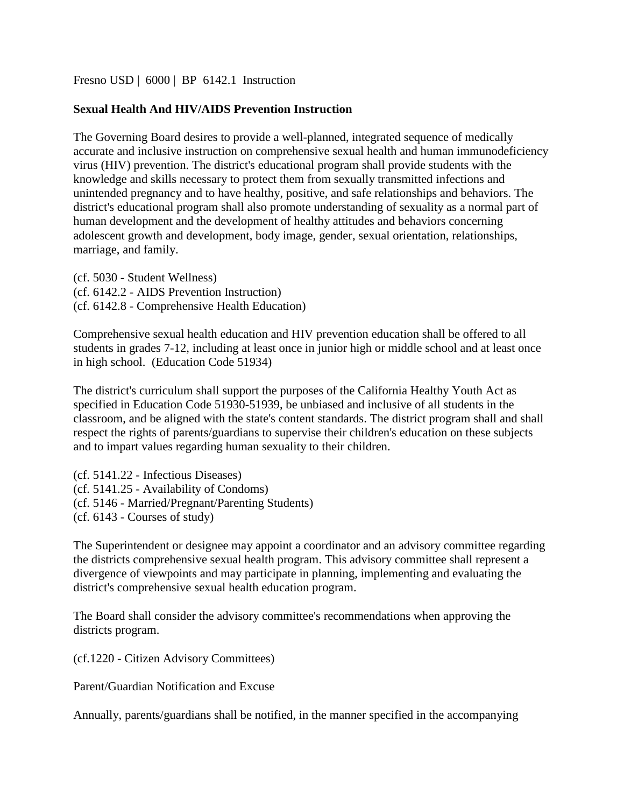### [Fresno USD](http://www.fresnounified.org/board/policies/Policies/fusd/loaddistrictpolicy/1050.htm) | [6000](http://www.fresnounified.org/board/policies/Policies/fusd/policycategorylist/1050/6.htm) | BP 6142.1 Instruction

## **Sexual Health And HIV/AIDS Prevention Instruction**

The Governing Board desires to provide a well-planned, integrated sequence of medically accurate and inclusive instruction on comprehensive sexual health and human immunodeficiency virus (HIV) prevention. The district's educational program shall provide students with the knowledge and skills necessary to protect them from sexually transmitted infections and unintended pregnancy and to have healthy, positive, and safe relationships and behaviors. The district's educational program shall also promote understanding of sexuality as a normal part of human development and the development of healthy attitudes and behaviors concerning adolescent growth and development, body image, gender, sexual orientation, relationships, marriage, and family.

(cf. 5030 - Student Wellness) (cf. 6142.2 - AIDS Prevention Instruction) (cf. 6142.8 - Comprehensive Health Education)

Comprehensive sexual health education and HIV prevention education shall be offered to all students in grades 7-12, including at least once in junior high or middle school and at least once in high school. (Education Code 51934)

The district's curriculum shall support the purposes of the California Healthy Youth Act as specified in Education Code 51930-51939, be unbiased and inclusive of all students in the classroom, and be aligned with the state's content standards. The district program shall and shall respect the rights of parents/guardians to supervise their children's education on these subjects and to impart values regarding human sexuality to their children.

(cf. 5141.22 - Infectious Diseases) (cf. 5141.25 - Availability of Condoms) (cf. 5146 - Married/Pregnant/Parenting Students) (cf. 6143 - Courses of study)

The Superintendent or designee may appoint a coordinator and an advisory committee regarding the districts comprehensive sexual health program. This advisory committee shall represent a divergence of viewpoints and may participate in planning, implementing and evaluating the district's comprehensive sexual health education program.

The Board shall consider the advisory committee's recommendations when approving the districts program.

(cf.1220 - Citizen Advisory Committees)

Parent/Guardian Notification and Excuse

Annually, parents/guardians shall be notified, in the manner specified in the accompanying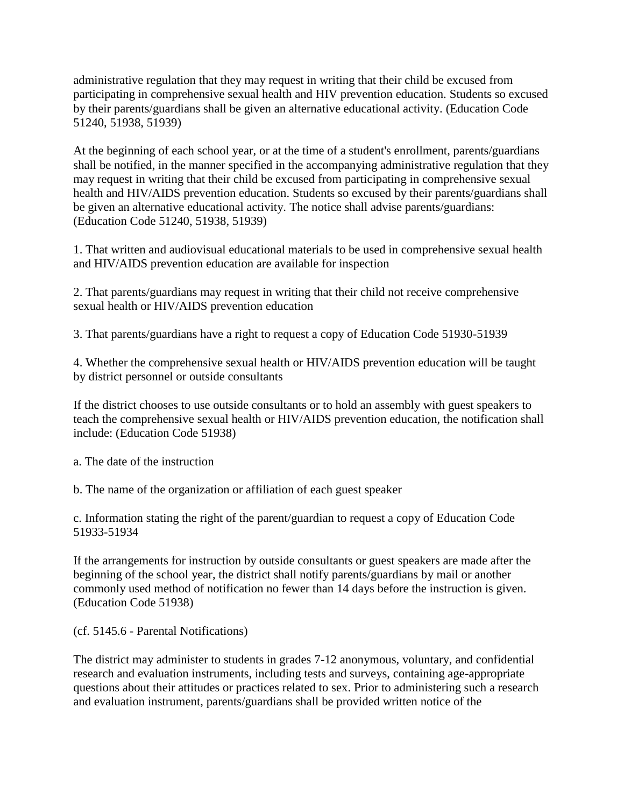administrative regulation that they may request in writing that their child be excused from participating in comprehensive sexual health and HIV prevention education. Students so excused by their parents/guardians shall be given an alternative educational activity. (Education Code 51240, 51938, 51939)

At the beginning of each school year, or at the time of a student's enrollment, parents/guardians shall be notified, in the manner specified in the accompanying administrative regulation that they may request in writing that their child be excused from participating in comprehensive sexual health and HIV/AIDS prevention education. Students so excused by their parents/guardians shall be given an alternative educational activity. The notice shall advise parents/guardians: (Education Code 51240, 51938, 51939)

1. That written and audiovisual educational materials to be used in comprehensive sexual health and HIV/AIDS prevention education are available for inspection

2. That parents/guardians may request in writing that their child not receive comprehensive sexual health or HIV/AIDS prevention education

3. That parents/guardians have a right to request a copy of Education Code 51930-51939

4. Whether the comprehensive sexual health or HIV/AIDS prevention education will be taught by district personnel or outside consultants

If the district chooses to use outside consultants or to hold an assembly with guest speakers to teach the comprehensive sexual health or HIV/AIDS prevention education, the notification shall include: (Education Code 51938)

a. The date of the instruction

b. The name of the organization or affiliation of each guest speaker

c. Information stating the right of the parent/guardian to request a copy of Education Code 51933-51934

If the arrangements for instruction by outside consultants or guest speakers are made after the beginning of the school year, the district shall notify parents/guardians by mail or another commonly used method of notification no fewer than 14 days before the instruction is given. (Education Code 51938)

(cf. 5145.6 - Parental Notifications)

The district may administer to students in grades 7-12 anonymous, voluntary, and confidential research and evaluation instruments, including tests and surveys, containing age-appropriate questions about their attitudes or practices related to sex. Prior to administering such a research and evaluation instrument, parents/guardians shall be provided written notice of the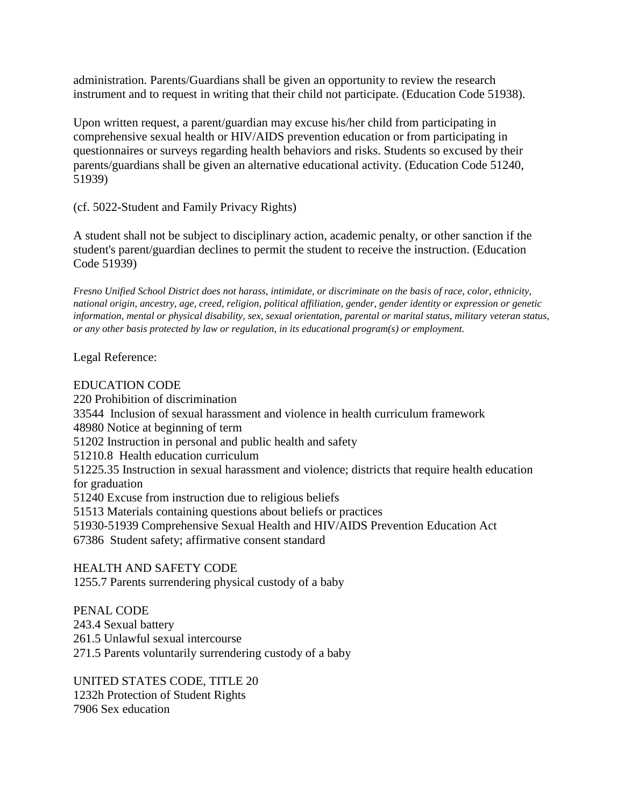administration. Parents/Guardians shall be given an opportunity to review the research instrument and to request in writing that their child not participate. (Education Code 51938).

Upon written request, a parent/guardian may excuse his/her child from participating in comprehensive sexual health or HIV/AIDS prevention education or from participating in questionnaires or surveys regarding health behaviors and risks. Students so excused by their parents/guardians shall be given an alternative educational activity. (Education Code 51240, 51939)

(cf. 5022-Student and Family Privacy Rights)

A student shall not be subject to disciplinary action, academic penalty, or other sanction if the student's parent/guardian declines to permit the student to receive the instruction. (Education Code 51939)

*Fresno Unified School District does not harass, intimidate, or discriminate on the basis of race, color, ethnicity, national origin, ancestry, age, creed, religion, political affiliation, gender, gender identity or expression or genetic information, mental or physical disability, sex, sexual orientation, parental or marital status, military veteran status, or any other basis protected by law or regulation, in its educational program(s) or employment.*

Legal Reference:

# EDUCATION CODE

220 Prohibition of discrimination 33544 Inclusion of sexual harassment and violence in health curriculum framework 48980 Notice at beginning of term 51202 Instruction in personal and public health and safety 51210.8 Health education curriculum 51225.35 Instruction in sexual harassment and violence; districts that require health education for graduation 51240 Excuse from instruction due to religious beliefs 51513 Materials containing questions about beliefs or practices 51930-51939 Comprehensive Sexual Health and HIV/AIDS Prevention Education Act 67386 Student safety; affirmative consent standard

HEALTH AND SAFETY CODE 1255.7 Parents surrendering physical custody of a baby

PENAL CODE 243.4 Sexual battery 261.5 Unlawful sexual intercourse 271.5 Parents voluntarily surrendering custody of a baby

UNITED STATES CODE, TITLE 20 1232h Protection of Student Rights 7906 Sex education